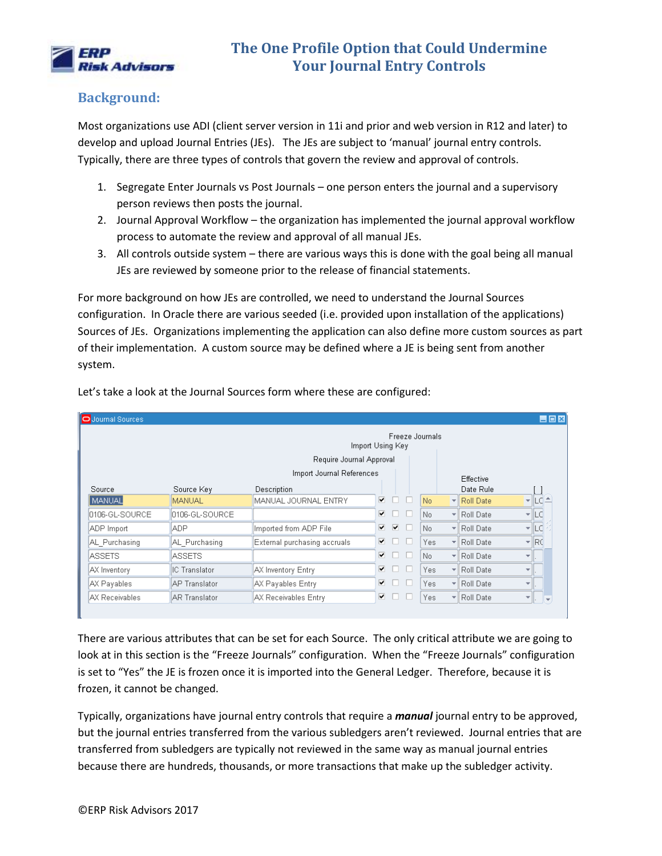

### **Background:**

Most organizations use ADI (client server version in 11i and prior and web version in R12 and later) to develop and upload Journal Entries (JEs). The JEs are subject to 'manual' journal entry controls. Typically, there are three types of controls that govern the review and approval of controls.

- 1. Segregate Enter Journals vs Post Journals one person enters the journal and a supervisory person reviews then posts the journal.
- 2. Journal Approval Workflow the organization has implemented the journal approval workflow process to automate the review and approval of all manual JEs.
- 3. All controls outside system there are various ways this is done with the goal being all manual JEs are reviewed by someone prior to the release of financial statements.

For more background on how JEs are controlled, we need to understand the Journal Sources configuration. In Oracle there are various seeded (i.e. provided upon installation of the applications) Sources of JEs. Organizations implementing the application can also define more custom sources as part of their implementation. A custom source may be defined where a JE is being sent from another system.

| O Journal Sources |                                     |                              |    |   |        |      |  |                                 |                          |      | $\Box$ DX |
|-------------------|-------------------------------------|------------------------------|----|---|--------|------|--|---------------------------------|--------------------------|------|-----------|
|                   | Freeze Journals<br>Import Using Key |                              |    |   |        |      |  |                                 |                          |      |           |
|                   |                                     | Require Journal Approval     |    |   |        |      |  |                                 |                          |      |           |
|                   |                                     | Import Journal References    |    |   |        |      |  | Effective                       |                          |      |           |
| Source            | Source Key                          | Description                  |    |   |        |      |  | Date Rule                       |                          |      |           |
| MANUAL            | <b>MANUAL</b>                       | MANUAL JOURNAL ENTRY         | ⊽  | п | $\Box$ | No.  |  | $\blacktriangleright$ Roll Date | $\overline{\phantom{a}}$ |      |           |
| 0106-GL-SOURCE    | 0106-GL-SOURCE                      |                              | ▿  | П | H      | No.  |  | ▼ Roll Date                     | ÷                        | LC   |           |
| ADP Import        | <b>ADP</b>                          | Imported from ADP File       | ⊽  | ⊽ | n      | No.  |  | ▼ Roll Date                     | ٣l                       | LC.  |           |
| AL Purchasing     | AL Purchasing                       | External purchasing accruals | ⊽. | ٠ |        | Yes  |  | ▼ Roll Date                     | ÷                        | IRC. |           |
| <b>ASSETS</b>     | <b>ASSETS</b>                       |                              | ⊽  |   |        | No.  |  | ▼ Roll Date                     | ÷                        |      |           |
| AX Inventory      | IC Translator                       | AX Inventory Entry           | ⊽. | П |        | Yes. |  | ▼ Roll Date                     | ÷                        |      |           |
| AX Payables       | <b>AP Translator</b>                | AX Payables Entry            | ▽  |   |        | Yes. |  | ▼ Roll Date                     | ÷                        |      |           |
| AX Receivables    | <b>AR Translator</b>                | AX Receivables Entry         | ⊽  |   |        | Yes. |  | ▼ Roll Date                     | ÷                        |      |           |

Let's take a look at the Journal Sources form where these are configured:

There are various attributes that can be set for each Source. The only critical attribute we are going to look at in this section is the "Freeze Journals" configuration. When the "Freeze Journals" configuration is set to "Yes" the JE is frozen once it is imported into the General Ledger. Therefore, because it is frozen, it cannot be changed.

Typically, organizations have journal entry controls that require a *manual* journal entry to be approved, but the journal entries transferred from the various subledgers aren't reviewed. Journal entries that are transferred from subledgers are typically not reviewed in the same way as manual journal entries because there are hundreds, thousands, or more transactions that make up the subledger activity.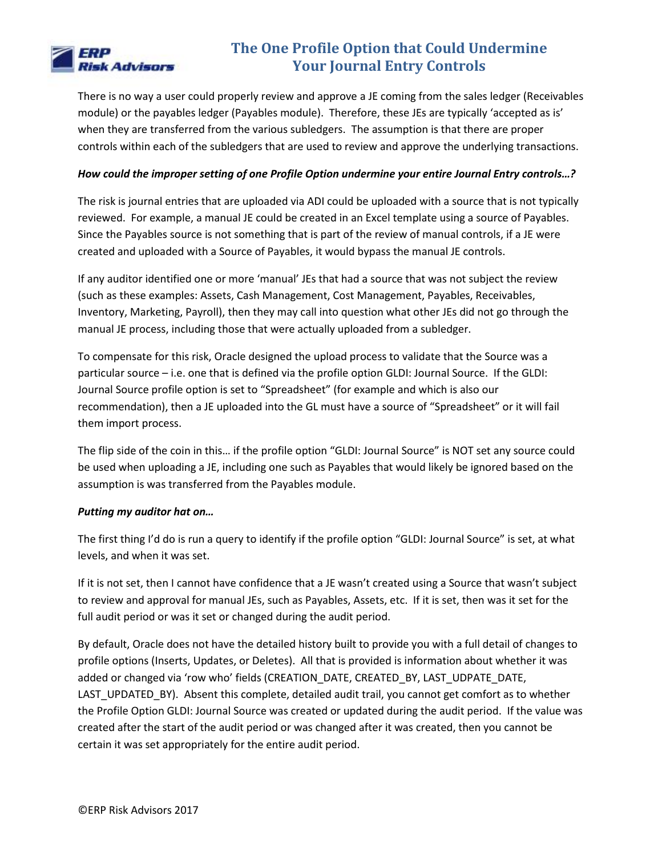

There is no way a user could properly review and approve a JE coming from the sales ledger (Receivables module) or the payables ledger (Payables module). Therefore, these JEs are typically 'accepted as is' when they are transferred from the various subledgers. The assumption is that there are proper controls within each of the subledgers that are used to review and approve the underlying transactions.

#### *How could the improper setting of one Profile Option undermine your entire Journal Entry controls…?*

The risk is journal entries that are uploaded via ADI could be uploaded with a source that is not typically reviewed. For example, a manual JE could be created in an Excel template using a source of Payables. Since the Payables source is not something that is part of the review of manual controls, if a JE were created and uploaded with a Source of Payables, it would bypass the manual JE controls.

If any auditor identified one or more 'manual' JEs that had a source that was not subject the review (such as these examples: Assets, Cash Management, Cost Management, Payables, Receivables, Inventory, Marketing, Payroll), then they may call into question what other JEs did not go through the manual JE process, including those that were actually uploaded from a subledger.

To compensate for this risk, Oracle designed the upload process to validate that the Source was a particular source – i.e. one that is defined via the profile option GLDI: Journal Source. If the GLDI: Journal Source profile option is set to "Spreadsheet" (for example and which is also our recommendation), then a JE uploaded into the GL must have a source of "Spreadsheet" or it will fail them import process.

The flip side of the coin in this… if the profile option "GLDI: Journal Source" is NOT set any source could be used when uploading a JE, including one such as Payables that would likely be ignored based on the assumption is was transferred from the Payables module.

#### *Putting my auditor hat on…*

The first thing I'd do is run a query to identify if the profile option "GLDI: Journal Source" is set, at what levels, and when it was set.

If it is not set, then I cannot have confidence that a JE wasn't created using a Source that wasn't subject to review and approval for manual JEs, such as Payables, Assets, etc. If it is set, then was it set for the full audit period or was it set or changed during the audit period.

By default, Oracle does not have the detailed history built to provide you with a full detail of changes to profile options (Inserts, Updates, or Deletes). All that is provided is information about whether it was added or changed via 'row who' fields (CREATION\_DATE, CREATED\_BY, LAST\_UDPATE\_DATE, LAST\_UPDATED\_BY). Absent this complete, detailed audit trail, you cannot get comfort as to whether the Profile Option GLDI: Journal Source was created or updated during the audit period. If the value was created after the start of the audit period or was changed after it was created, then you cannot be certain it was set appropriately for the entire audit period.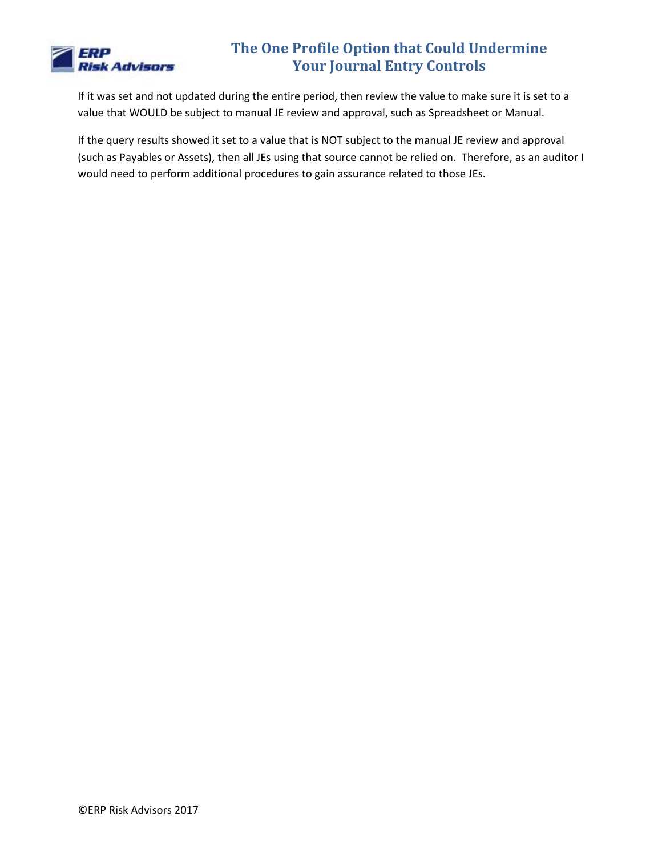

If it was set and not updated during the entire period, then review the value to make sure it is set to a value that WOULD be subject to manual JE review and approval, such as Spreadsheet or Manual.

If the query results showed it set to a value that is NOT subject to the manual JE review and approval (such as Payables or Assets), then all JEs using that source cannot be relied on. Therefore, as an auditor I would need to perform additional procedures to gain assurance related to those JEs.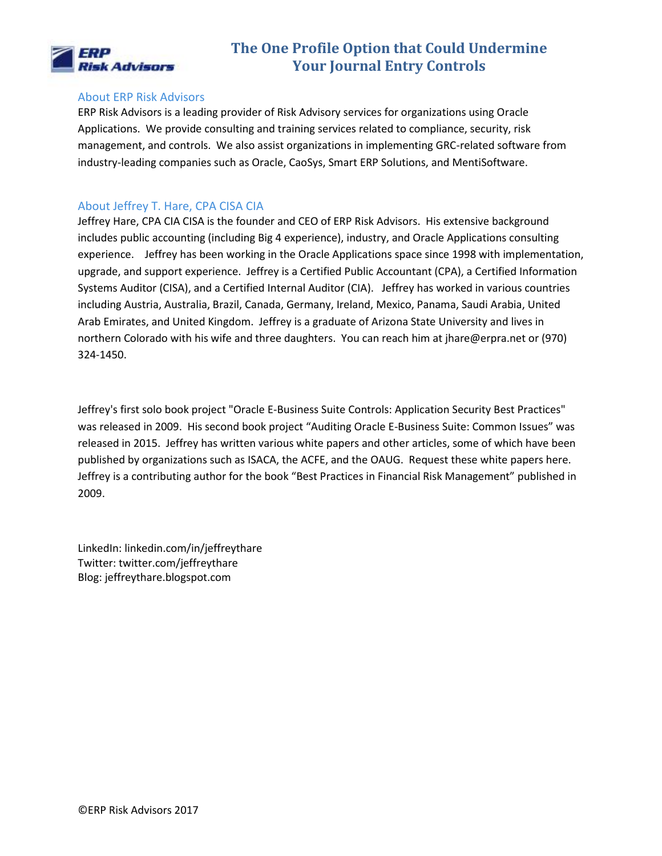

#### About ERP Risk Advisors

ERP Risk Advisors is a leading provider of Risk Advisory services for organizations using Oracle Applications. We provide consulting and training services related to compliance, security, risk management, and controls. We also assist organizations in implementing GRC-related software from industry-leading companies such as Oracle, CaoSys, Smart ERP Solutions, and MentiSoftware.

#### About Jeffrey T. Hare, CPA CISA CIA

Jeffrey Hare, CPA CIA CISA is the founder and CEO of ERP Risk Advisors. His extensive background includes public accounting (including Big 4 experience), industry, and Oracle Applications consulting experience. Jeffrey has been working in the Oracle Applications space since 1998 with implementation, upgrade, and support experience. Jeffrey is a Certified Public Accountant (CPA), a Certified Information Systems Auditor (CISA), and a Certified Internal Auditor (CIA). Jeffrey has worked in various countries including Austria, Australia, Brazil, Canada, Germany, Ireland, Mexico, Panama, Saudi Arabia, United Arab Emirates, and United Kingdom. Jeffrey is a graduate of Arizona State University and lives in northern Colorado with his wife and three daughters. You can reach him at jhare@erpra.net or (970) 324-1450.

Jeffrey's first solo book project "Oracle E-Business Suite Controls: Application Security Best Practices" was released in 2009. His second book project "Auditing Oracle E-Business Suite: Common Issues" was released in 2015. Jeffrey has written various white papers and other articles, some of which have been published by organizations such as ISACA, the ACFE, and the OAUG. Request these white papers here. Jeffrey is a contributing author for the book "Best Practices in Financial Risk Management" published in 2009.

LinkedIn: linkedin.com/in/jeffreythare Twitter: twitter.com/jeffreythare Blog: jeffreythare.blogspot.com